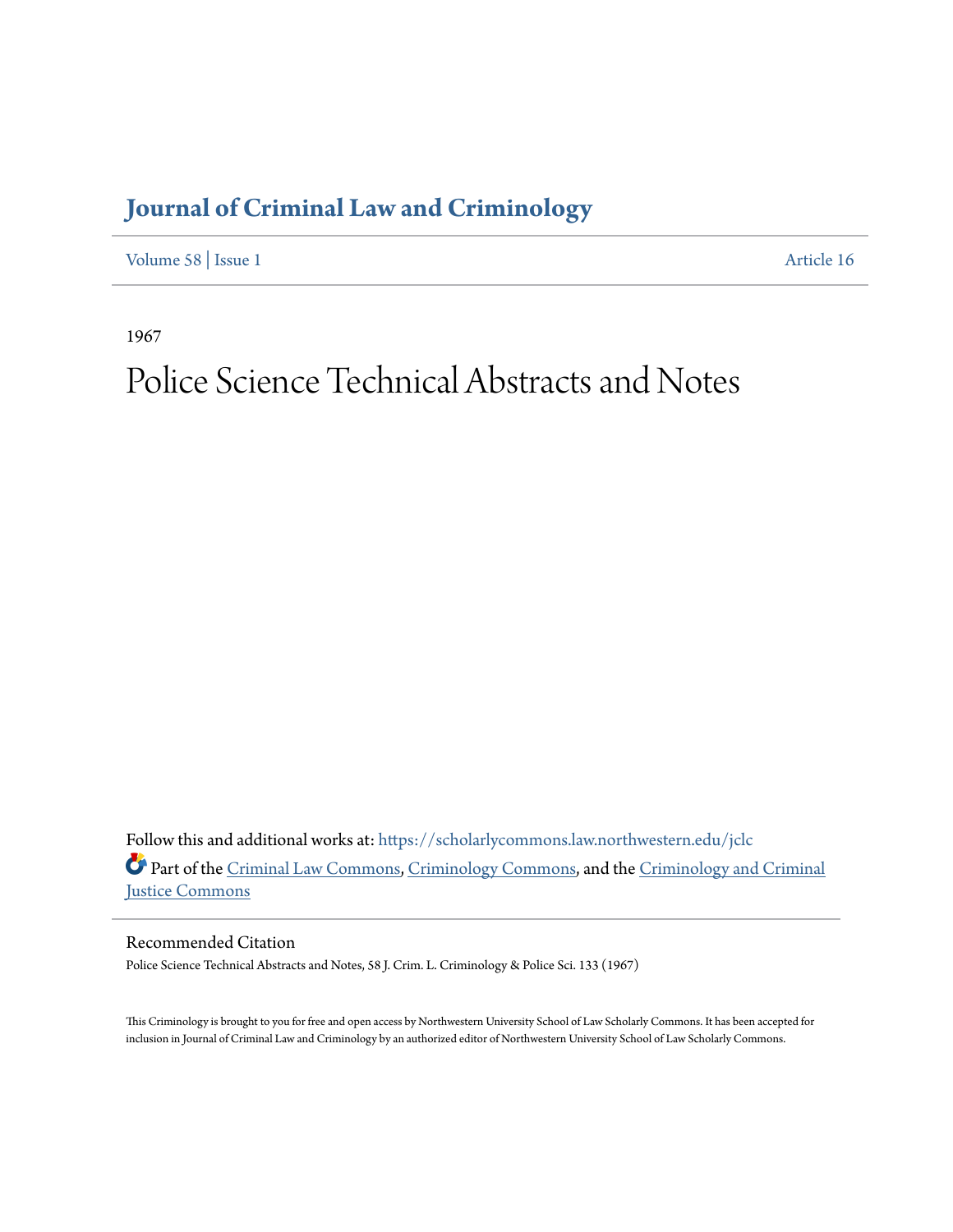## **[Journal of Criminal Law and Criminology](https://scholarlycommons.law.northwestern.edu/jclc?utm_source=scholarlycommons.law.northwestern.edu%2Fjclc%2Fvol58%2Fiss1%2F16&utm_medium=PDF&utm_campaign=PDFCoverPages)**

[Volume 58](https://scholarlycommons.law.northwestern.edu/jclc/vol58?utm_source=scholarlycommons.law.northwestern.edu%2Fjclc%2Fvol58%2Fiss1%2F16&utm_medium=PDF&utm_campaign=PDFCoverPages) | [Issue 1](https://scholarlycommons.law.northwestern.edu/jclc/vol58/iss1?utm_source=scholarlycommons.law.northwestern.edu%2Fjclc%2Fvol58%2Fiss1%2F16&utm_medium=PDF&utm_campaign=PDFCoverPages) [Article 16](https://scholarlycommons.law.northwestern.edu/jclc/vol58/iss1/16?utm_source=scholarlycommons.law.northwestern.edu%2Fjclc%2Fvol58%2Fiss1%2F16&utm_medium=PDF&utm_campaign=PDFCoverPages)

1967

## Police Science Technical Abstracts and Notes

Follow this and additional works at: [https://scholarlycommons.law.northwestern.edu/jclc](https://scholarlycommons.law.northwestern.edu/jclc?utm_source=scholarlycommons.law.northwestern.edu%2Fjclc%2Fvol58%2Fiss1%2F16&utm_medium=PDF&utm_campaign=PDFCoverPages) Part of the [Criminal Law Commons](http://network.bepress.com/hgg/discipline/912?utm_source=scholarlycommons.law.northwestern.edu%2Fjclc%2Fvol58%2Fiss1%2F16&utm_medium=PDF&utm_campaign=PDFCoverPages), [Criminology Commons](http://network.bepress.com/hgg/discipline/417?utm_source=scholarlycommons.law.northwestern.edu%2Fjclc%2Fvol58%2Fiss1%2F16&utm_medium=PDF&utm_campaign=PDFCoverPages), and the [Criminology and Criminal](http://network.bepress.com/hgg/discipline/367?utm_source=scholarlycommons.law.northwestern.edu%2Fjclc%2Fvol58%2Fiss1%2F16&utm_medium=PDF&utm_campaign=PDFCoverPages) [Justice Commons](http://network.bepress.com/hgg/discipline/367?utm_source=scholarlycommons.law.northwestern.edu%2Fjclc%2Fvol58%2Fiss1%2F16&utm_medium=PDF&utm_campaign=PDFCoverPages)

Recommended Citation

Police Science Technical Abstracts and Notes, 58 J. Crim. L. Criminology & Police Sci. 133 (1967)

This Criminology is brought to you for free and open access by Northwestern University School of Law Scholarly Commons. It has been accepted for inclusion in Journal of Criminal Law and Criminology by an authorized editor of Northwestern University School of Law Scholarly Commons.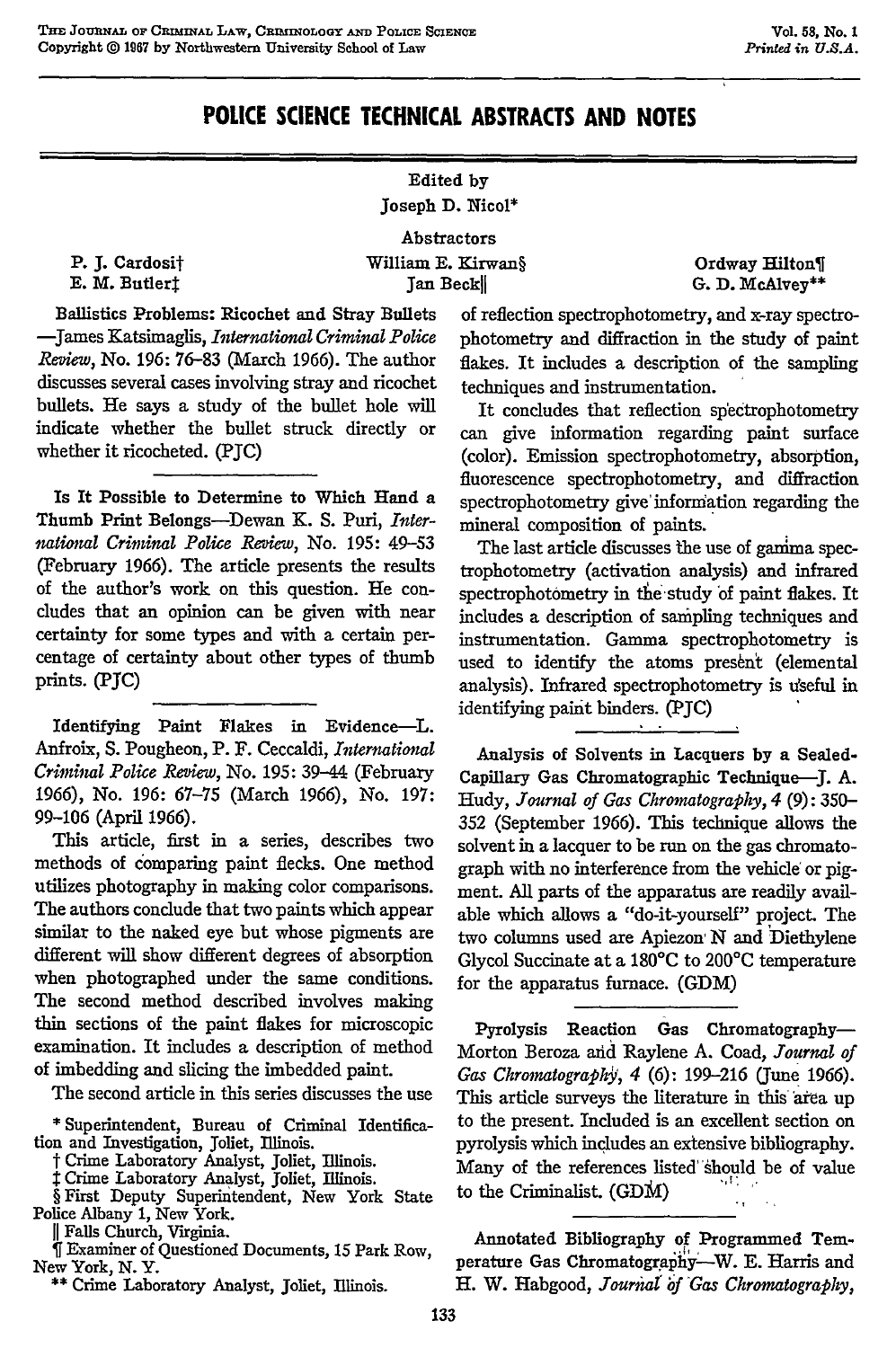## **POLICE SCIENCE TECHNICAL ABSTRACTS AND NOTES**

## Edited **by** Joseph **D.** Nicol\*

Abstractors

P. **J.** Cardosit E. M. Butlerf

William **E.** Kirwan§ Jan Beckl

Ordway Hilton **G. D.** McAlvey\*\*

Ballistics Problems: Ricochet and Stray Bullets -James Katsimaglis, *International Criminal Police Review,* No. **196: 76-83** (March **1966).** The author discusses several cases involving stray and ricochet bullets. He says a study of the bullet hole will indicate whether the bullet struck directly or whether it ricocheted. **(PJC)**

Is It Possible to Determine to Which Hand a Thumb Print Belongs-Dewan K. **S.** Puri, *International Criminal Police Review, No. 195: 49-53* (February 1966). The article presents the results of the author's work on this question. He concludes that an opinion can be given with near certainty for some types and with a certain percentage of certainty about other types of thumb prints. **(PJC)**

Identifying Paint Flakes in Evidence-L. Anfroix, **S.** Pougheon, P. F. Ceccaldi, *International Criminal Police Review,* No. **195:** 39-44 (February 1966), No. 196: 67-75 (March 1966), No. 197: 99-106 (April 1966).

This article, first in a series, describes two methods of comparing paint flecks. One method utilizes photography in making color comparisons. The authors conclude that two paints which appear similar to the naked eye but whose pigments are different will show different degrees of absorption when photographed under the same conditions. The second method described involves making thin sections of the paint flakes for microscopic examination. It includes a description of method of imbedding and slicing the imbedded paint.

The second article in this series discusses the use

**\*** Superintendent, Bureau of Criminal Identification and Investigation, Joliet, Illinois.

t Crime Laboratory Analyst, Joliet, Illinois.

**I** Crime Laboratory Analyst, Joliet, Illinois.

*§* First Deputy Superintendent, New York State Police Albany 1, New York.

**11** Falls Church, Virginia.

*if* Examiner of Questioned Documents, 15 Park Row, New York, **N.** Y.

**\*\*** Crime Laboratory Analyst, Joliet, Illinois.

of reflection spectrophotometry, and x-ray spectrophotometry and diffraction in the study of paint flakes. It includes a description of the sampling techniques and instrumentation.

It concludes that reflection spectrophotometry can give information regarding paint surface (color). Emission spectrophotometry, absorption, fluorescence spectrophotometry, and diffraction spectrophotometry give information regarding the mineral composition of paints.

The last article discusses the use of gamma spectrophotometry (activation analysis) and infrared spectrophotometry in the study of paint flakes. It includes a description of sampling techniques and instrumentation. Gamma spectrophotometry is used to identify the atoms present (elemental analysis). Infrared spectrophotometry is useful in identifying paint binders. (PJC)

Analysis of Solvents in Lacquers **by** a Sealed-Capillary Gas Chromatographic Technique-J. A. Hudy, *Journal of Gas Chromatography, 4* **(9):** 350- 352 (September 1966). This technique allows the solvent in a lacquer to be run on the gas chromatograph with no interference from the vehicle or pigment. All parts of the apparatus are readily available which allows a "do-it-yourself" project. The two columns used are Apiezon N and Diethylene Glycol Succinate at a 180°C to 200°C temperature for the apparatus furnace. (GDM)

Pyrolysis Reaction Gas Chromatography-Morton Beroza arid Raylene A. Coad, *Journal of Gas Chromatography*, 4 (6): 199-216 (June 1966). This article surveys the literature in this area up to the present. Included is an excellent section on pyrolysis which includes an extensive bibliography. Many of the references listed should be of value to the Criminalist. (GDM)

Annotated Bibliography of Programmed Temperature Gas Chromatography--W. E. Harris and H. W. Habgood, *Journal* of *Gas Chromatography*,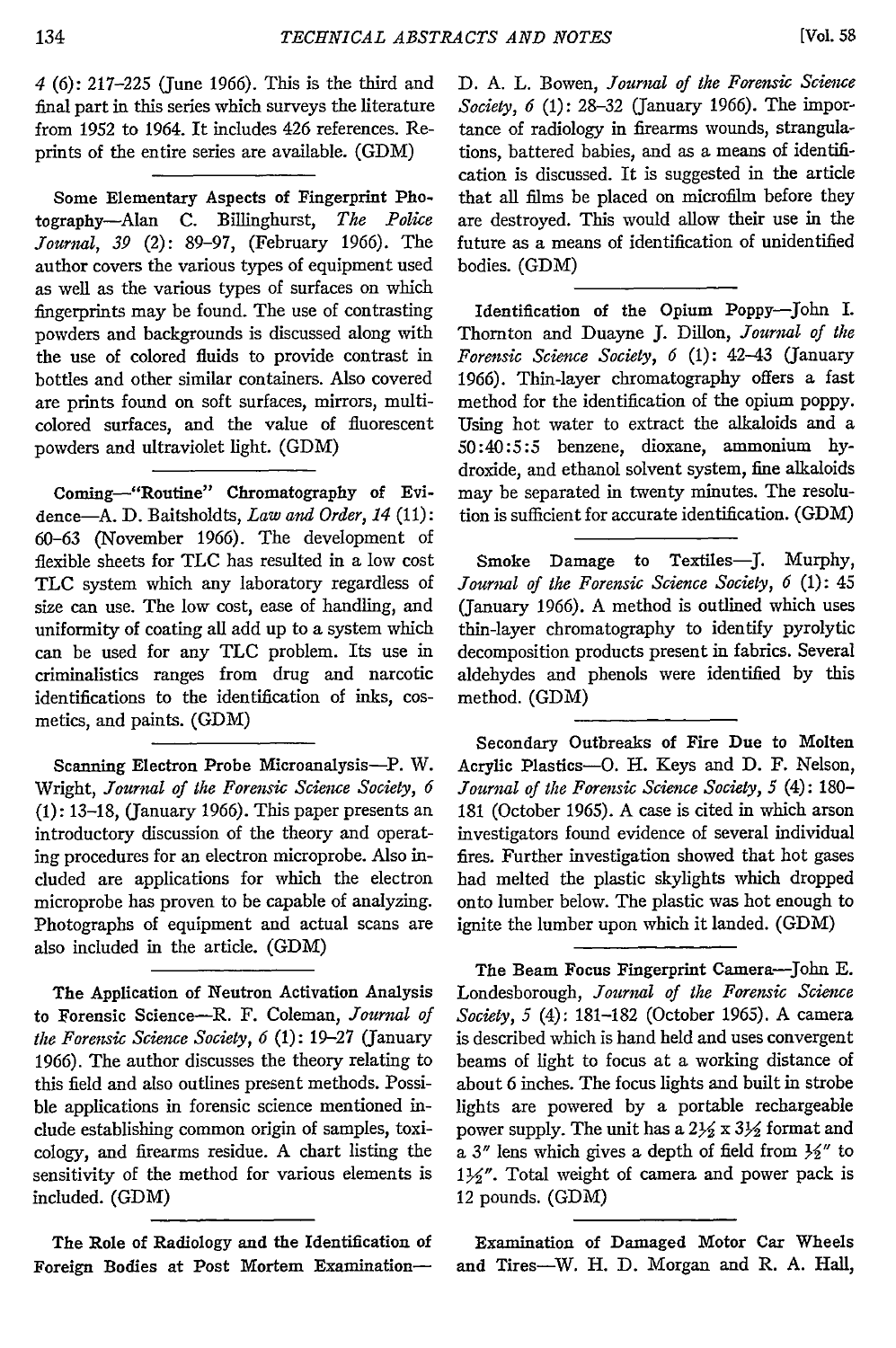*4* (6): 217-225 (June 1966). This is the third and final part in this series which surveys the literature from 1952 to 1964. It includes 426 references. Reprints of the entire series are available. (GDM)

Some Elementary Aspects of Fingerprint **Pho**tography-Alan **C.** Billinghurst, *The Police Journal, 39* (2): 89-97, (February 1966). The author covers the various types of equipment used as well as the various types of surfaces on which fingerprints may be found. The use of contrasting powders and backgrounds is discussed along with the use of colored fluids to provide contrast in bottles and other similar containers. Also covered are prints found on soft surfaces, mirrors, multicolored surfaces, and the value of fluorescent powders and ultraviolet light. (GDM)

Coming-"Routine" Chromatography of Evidence-A. D. Baitsholdts, *Law and Order, 14* **(11):** 60-63 (November 1966). The development of flexible sheets for TLC has resulted in a low cost TLC system which any laboratory regardless of size can use. The low cost, ease of handling, and uniformity of coating all add up to a system which can be used for any TLC problem. Its use in criminalistics ranges from drug and narcotic identifications to the identification of inks, cosmetics, and paints. (GDM)

Scanning Electron Probe Microanalysis-P. W. Wright, *Journal of the Forensic Science Society, 6* (1): 13-18, (January 1966). This paper presents an introductory discussion of the theory and operating procedures for an electron microprobe. Also included are applications for which the electron microprobe has proven to be capable of analyzing. Photographs of equipment and actual scans are also included in the article. **(GDM)**

The Application of Neutron Activation Analysis to Forensic Science-R. F. Coleman, *Journal of the Forensic Science Society, 6* (1): 19-27 (January 1966). The author discusses the theory relating to this field and also outlines present methods. Possible applications in forensic science mentioned indude establishing common origin of samples, toxicology, and firearms residue. A chart listing the sensitivity of the method for various elements is included. (GDM)

The Role of Radiology and the Identification of Foreign Bodies at Post Mortem Examination**D.** A. L. Bowen, *Journal of the Forensic Science Society, 6* **(1):** 28-32 (January 1966). The importance of radiology in firearms wounds, strangulations, battered babies, and as a means of identification is discussed. It is suggested in the article that all films be placed on microfilm before they are destroyed. This would allow their use in the future as a means of identification of unidentified bodies. (GDM)

Identification of the Opium Poppy-John I. Thornton and Duayne **J.** Dillon, *Journal of the Forensic Science Society, 6* (1): 42-43 (January 1966). Thin-layer chromatography offers a fast method for the identification of the opium poppy. Using hot water to extract the alkaloids and a 50:40:5:5 benzene, dioxane, ammonium hydroxide, and ethanol solvent system, fine alkaloids may be separated in twenty minutes. The resolution is sufficient for accurate identification. (GDM)

Smoke Damage to Textiles-J. Murphy, *Journal of the Forensic Science Society, 6* (1): 45 (January 1966). A method is outlined which uses thin-layer chromatography to identify pyrolytic decomposition products present in fabrics. Several aldehydes and phenols were identified by this method. (GDM)

Secondary Outbreaks of Fire Due to Molten Acrylic Plastics-O. H. Keys and **D.** F. Nelson, *Journal of the Forensic Science Society, 5* (4): 180- 181 (October 1965). A case is cited in which arson investigators found evidence of several individual fires. Further investigation showed that hot gases had melted the plastic skylights which dropped onto lumber below. The plastic was hot enough to ignite the lumber upon which it landed. (GDM)

The Beam Focus Fingerprint Camera-John E. Londesborough, *Journal of the Forensic Science Society, 5* (4): 181-182 (October 1965). A camera is described which is hand held and uses convergent beams of light to focus at a working distance of about 6 inches. The focus lights and built in strobe lights are powered **by** a portable rechargeable power supply. The unit has a  $2\frac{1}{2} \times 3\frac{1}{2}$  format and a  $3''$  lens which gives a depth of field from  $\frac{1}{2}$ " to  $1\frac{1}{2}$ ". Total weight of camera and power pack is 12 pounds. (GDM)

Examination of Damaged Motor Car Wheels and Tires-W. H. **D.** Morgan and R. **A.** Hall,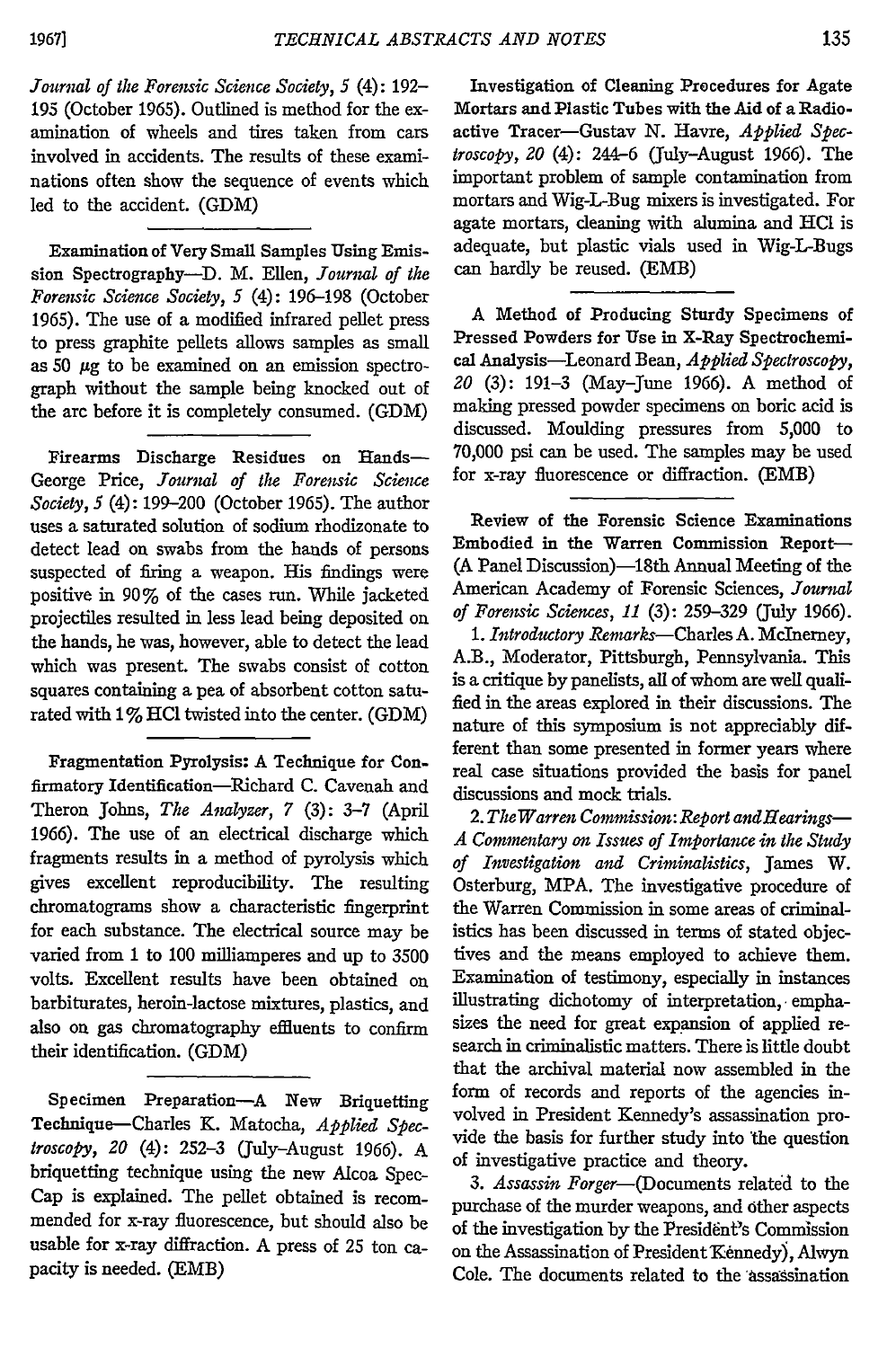*Journal of the Forensic Science Society, 5* (4): 192- 195 (October 1965). Outlined is method for the examination of wheels and tires taken from cars involved in accidents. The results of these examinations often show the sequence of events which led to the accident. (GDM)

Examination of Very Small Samples Using Emis. sion Spectrography-D. M. Ellen, *Journal of the Forensic Science Society, 5* (4): 196-198 (October 1965). The use of a modified infrared pellet press to press graphite pellets allows samples as small as  $50 \mu$ g to be examined on an emission spectrograph without the sample being knocked out of the arc before it is completely consumed. (GDM)

Firearms Discharge Residues on Hands-George Price, *Journal of the Forensic Science Society, 5* (4): 199-200 (October 1965). The author uses a saturated solution of sodium rhodizonate to detect lead on swabs from the hands of persons suspected of firing a weapon. His findings were positive in 90% of the cases run. While jacketed projectiles resulted in less lead being deposited on the hands, he was, however, able to detect the lead which was present. The swabs consist of cotton squares containing a pea of absorbent cotton saturated with 1% **HC1** twisted into the center. (GDM)

Fragmentation Pyrolysis: A Technique for Confirmatory Identification-Richard **C.** Cavenah and Theron Johns, *The Analyzer, 7* **(3):** 3-7 (April **1966).** The use of an electrical discharge which fragments results in a method of pyrolysis which gives excellent reproducibility. The resulting chromatograms show a characteristic fingerprint for each substance. The electrical source may be varied from **1** to **100** milliamperes and up to **3500** volts. Excellent results have been obtained on barbiturates, heroin-lactose mixtures, plastics, and also on gas chromatography effluents to confirm their identification. **(GDM)**

Specimen Preparation-A New Briquetting Technique-Charles K. Matocha, *Applied Spectroscopy, 20* (4): **252-3** (July-August 1966). A briquetting technique using the new Alcoa Spec-Cap is explained. The pellet obtained is recommended for x-ray fluorescence, but should also be usable for x-ray diffraction. A press of **25** ton capacity is needed. (EMB)

Investigation of Cleaning Procedures for Agate Mortars and Plastic Tubes with the Aid of a Radioactive Tracer-Gustav **N.** Havre, *Applied Spectroscopy, 20* (4): 244-6 (July-August **1966).** The important problem of sample contamination from mortars and Wig-L-Bug mixers is investigated. For agate mortars, cleaning with alumina and **HCI** is adequate, but plastic vials used in Wig-L-Bugs can hardly be reused. **(EMB)**

A Method of Producing Sturdy Specimens of Pressed Powders for Use in X-Ray Spectrochemical Analysis-Leonard Bean, *Applied Spectroscopy, 20* **(3): 191-3** (May-June 1966). A method of making pressed powder specimens on boric acid is discussed. Moulding pressures from **5,000** to **70,000** psi can be used. The samples may be used for x-ray fluorescence or diffraction. (EMB)

Review of the Forensic Science Examinations Embodied in the Warren Commission Report- **(A** Panel Discussion)-18th Annual Meeting of the American Academy of Forensic Sciences, *Journal of Forensic Sciences, 11* (3): 259-329 (July 1966).

*1. Introductory* Remarks-Charles **A.** Mclnerney, A.B., Moderator, Pittsburgh, Pennsylvania. This is a critique **by** panelists, all of whom are well qualified in the areas explored in their discussions. The nature of this symposium is not appreciably different than some presented in former years where real case situations provided the basis for panel discussions and mock trials.

*2. The Warren Commission: Report andHearings-A Commentary on Issues of Importance in the Study of Investigation and Criminalistics,* James W. Osterburg, MPA. The investigative procedure of the Warren Commission in some areas of criminalistics has been discussed in terms of stated objectives and the means employed to achieve them. Examination of testimony, especially in instances illustrating dichotomy of interpretation, emphasizes the need for great expansion of applied research in criminalistic matters. There is little doubt that the archival material now assembled in the form of records and reports of the agencies involved in President Kennedy's assassination provide the basis for further study into 'the question of investigative practice and theory.

3. Assassin Forger-(Documents related to the purchase of the murder weapons, and other aspects of the investigation by the President's Commission on the Assassination of President Kennedy), Alwyn Cole. The documents related to the assassination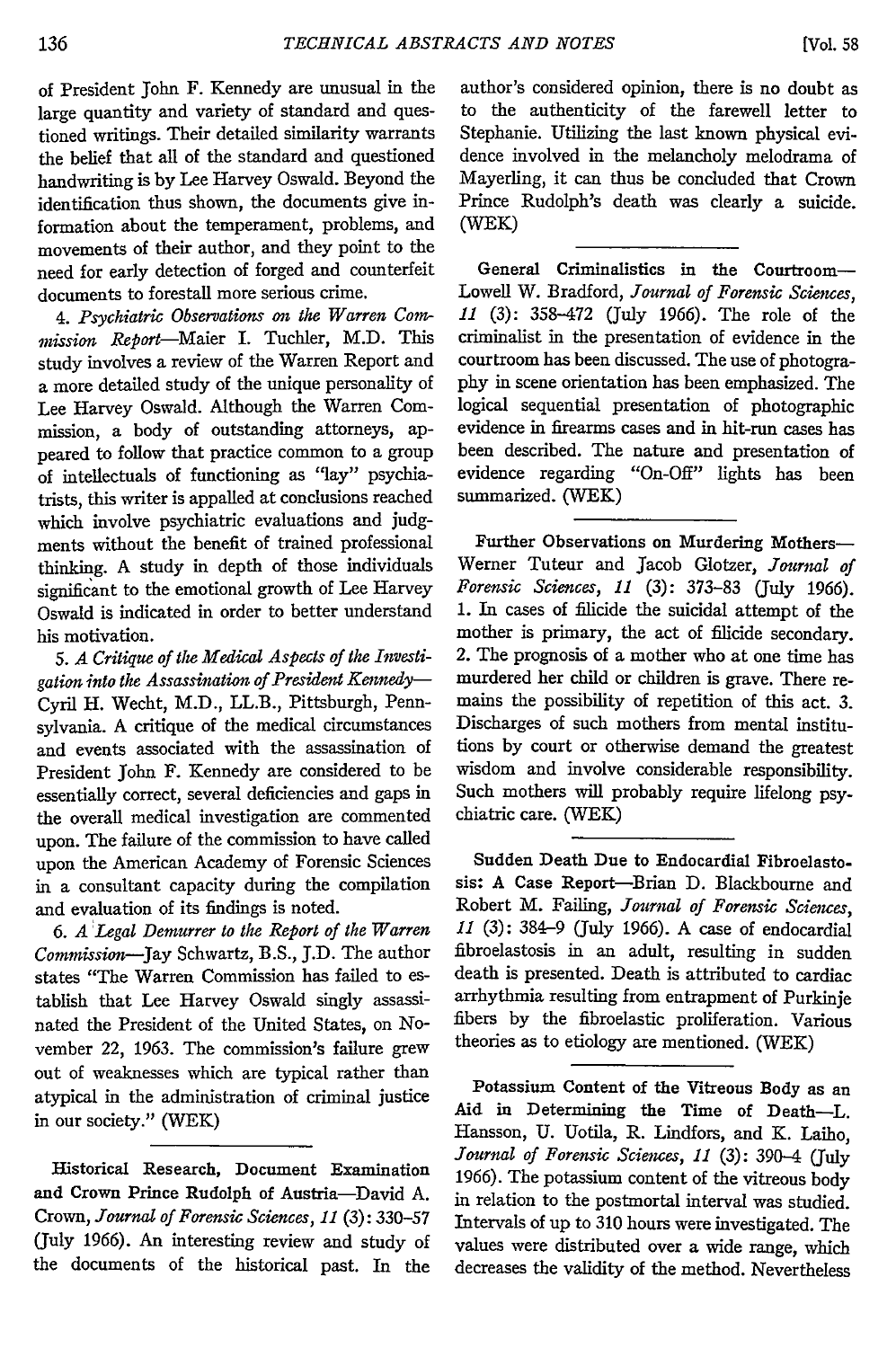of President John F. Kennedy are unusual in the large quantity and variety of standard and questioned writings. Their detailed similarity warrants the belief that all of the standard and questioned handwriting is by Lee Harvey Oswald. Beyond the identification thus shown, the documents give information about the temperament, problems, and movements of their author, and they point to the need for early detection of forged and counterfeit documents to forestall more serious crime.

*4. Psychiatric Observations on the Warren Com*mission *Report-Maier* I. Tuchler, M.D. This study involves a review of the Warren Report and a more detailed study of the unique personality of Lee Harvey Oswald. Although the Warren Commission, a body of outstanding attorneys, appeared to follow that practice common to a group of intellectuals of functioning as "lay" psychiatrists, this writer is appalled at conclusions reached which involve psychiatric evaluations and judgments without the benefit of trained professional thinking. A study in depth of those individuals significant to the emotional growth of Lee Harvey Oswald is indicated in order to better understand his motivation.

*5. A Critique of the Medical Aspects of the Investigation into the Assassination of President Kennedy-*Cyril H. Wecht, M.D., LL.B., Pittsburgh, Pennsylvania. A critique of the medical circumstances and events associated with the assassination of President John F. Kennedy are considered to be essentially correct, several deficiencies and gaps in the overall medical investigation are commented upon. The failure of the commission to have called upon the American Academy of Forensic Sciences in a consultant capacity during the compilation and evaluation of its findings is noted.

*6. A Legal Demurrer to the Report of the Warren Commission-Jay* Schwartz, B.S., **J.D.** The author states "The Warren Commission has failed to establish that Lee Harvey Oswald singly assassinated the President of the United States, on November 22, 1963. The commission's failure grew out of weaknesses which are typical rather than atypical in the administration of criminal justice in our society." (WEK)

Historical Research, Document Examination **and** Crown Prince Rudolph of Austria-David A. Crown, *Journal of Forensic Sciences, 11* **(3):** 330-57 (July 1966). An interesting review and study of the documents of the historical past. In the author's considered opinion, there is no doubt as to the authenticity of the farewell letter to Stephanie. Utilizing the last known physical evidence involved in the melancholy melodrama of Mayerling, it can thus be concluded that Crown Prince Rudolph's death was clearly a suicide. (WEK)

General Criminalistics in the Courtroom-Lowell W. Bradford, *Journal of Forensic Sciences, 11* (3): 358-472 (July 1966). The role of the criminalist in the presentation of evidence in the courtroom has been discussed. The use of photography in scene orientation has been emphasized. The logical sequential presentation of photographic evidence in firearms cases and in hit-run cases has been described. The nature and presentation of evidence regarding "On-Off" lights has been summarized. (WEK)

Further Observations on Murdering Mothers-Werner Tuteur and Jacob Glotzer, *Journal of Forensic Sciences, 11* (3): 373-83 (July 1966). 1. In cases of filicide the suicidal attempt of the mother is primary, the act of filicide secondary. 2. The prognosis of a mother who at one time has murdered her child or children is grave. There remains the possibility of repetition of this act. 3. Discharges of such mothers from mental institutions by court or otherwise demand the greatest wisdom and involve considerable responsibility. Such mothers will probably require lifelong psychiatric care. (WEK)

Sudden Death Due to Endocardial Fibroelastosis: **A** Case Report-Brian **D.** Blackbourne and Robert M. Failing, *Journal of Forensic Sciences, 11* (3): 384-9 (July 1966). A case of endocardial fibroelastosis in an adult, resulting in sudden death is presented. Death is attributed to cardiac arrhythmia resulting from entrapment of Purkinje fibers by the fibroelastic proliferation. Various theories as to etiology are mentioned. (WEK)

Potassium Content of the Vitreous Body as an Aid in Determining the Time of Death-L. Hansson, **U.** Uotila, R. Lindfors, and K. Laiho, *Journal of Forensic Sciences, 11* (3): 390-4 (July 1966). The potassium content of the vitreous body in relation to the postmortal interval was studied. Intervals of up to 310 hours were investigated. The values were distributed over a wide range, which decreases the validity of the method. Nevertheless